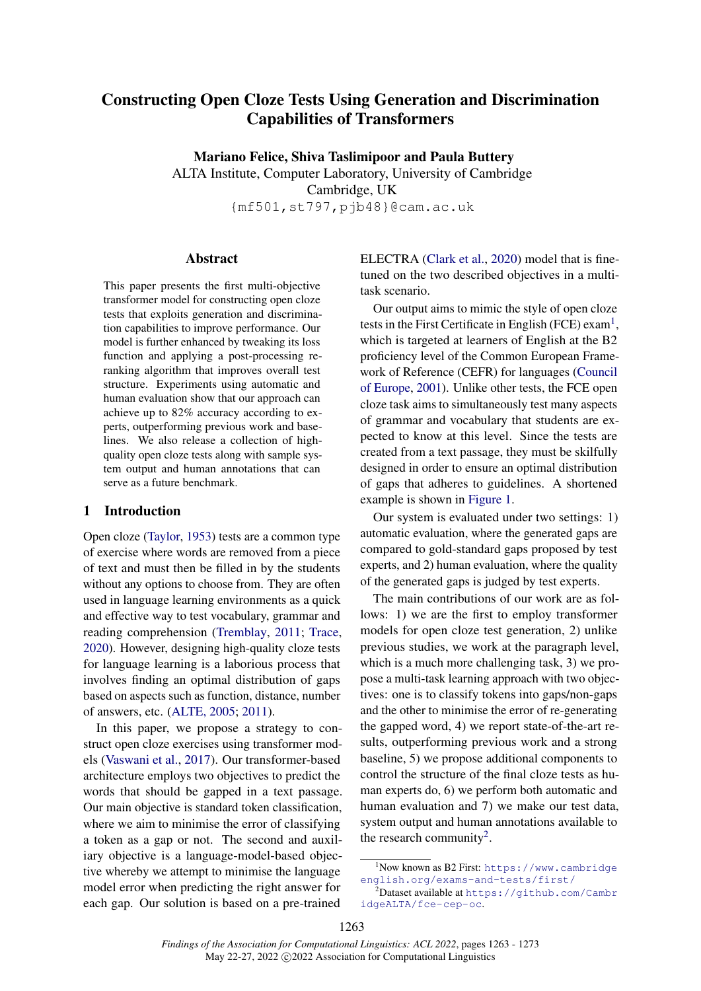# Constructing Open Cloze Tests Using Generation and Discrimination Capabilities of Transformers

Mariano Felice, Shiva Taslimipoor and Paula Buttery

ALTA Institute, Computer Laboratory, University of Cambridge Cambridge, UK {mf501,st797,pjb48}@cam.ac.uk

#### Abstract

This paper presents the first multi-objective transformer model for constructing open cloze tests that exploits generation and discrimination capabilities to improve performance. Our model is further enhanced by tweaking its loss function and applying a post-processing reranking algorithm that improves overall test structure. Experiments using automatic and human evaluation show that our approach can achieve up to 82% accuracy according to experts, outperforming previous work and baselines. We also release a collection of highquality open cloze tests along with sample system output and human annotations that can serve as a future benchmark.

## 1 Introduction

Open cloze [\(Taylor,](#page-9-0) [1953\)](#page-9-0) tests are a common type of exercise where words are removed from a piece of text and must then be filled in by the students without any options to choose from. They are often used in language learning environments as a quick and effective way to test vocabulary, grammar and reading comprehension [\(Tremblay,](#page-9-1) [2011;](#page-9-1) [Trace,](#page-9-2) [2020\)](#page-9-2). However, designing high-quality cloze tests for language learning is a laborious process that involves finding an optimal distribution of gaps based on aspects such as function, distance, number of answers, etc. [\(ALTE, 2005;](#page-9-3) [2011\)](#page-9-4).

In this paper, we propose a strategy to construct open cloze exercises using transformer models [\(Vaswani et al.,](#page-9-5) [2017\)](#page-9-5). Our transformer-based architecture employs two objectives to predict the words that should be gapped in a text passage. Our main objective is standard token classification, where we aim to minimise the error of classifying a token as a gap or not. The second and auxiliary objective is a language-model-based objective whereby we attempt to minimise the language model error when predicting the right answer for each gap. Our solution is based on a pre-trained

ELECTRA [\(Clark et al.,](#page-8-0) [2020\)](#page-8-0) model that is finetuned on the two described objectives in a multitask scenario.

Our output aims to mimic the style of open cloze tests in the First Certificate in English (FCE) exam<sup>[1](#page-0-0)</sup>, which is targeted at learners of English at the B2 proficiency level of the Common European Framework of Reference (CEFR) for languages [\(Council](#page-8-1) [of Europe,](#page-8-1) [2001\)](#page-8-1). Unlike other tests, the FCE open cloze task aims to simultaneously test many aspects of grammar and vocabulary that students are expected to know at this level. Since the tests are created from a text passage, they must be skilfully designed in order to ensure an optimal distribution of gaps that adheres to guidelines. A shortened example is shown in [Figure 1.](#page-1-0)

Our system is evaluated under two settings: 1) automatic evaluation, where the generated gaps are compared to gold-standard gaps proposed by test experts, and 2) human evaluation, where the quality of the generated gaps is judged by test experts.

The main contributions of our work are as follows: 1) we are the first to employ transformer models for open cloze test generation, 2) unlike previous studies, we work at the paragraph level, which is a much more challenging task, 3) we propose a multi-task learning approach with two objectives: one is to classify tokens into gaps/non-gaps and the other to minimise the error of re-generating the gapped word, 4) we report state-of-the-art results, outperforming previous work and a strong baseline, 5) we propose additional components to control the structure of the final cloze tests as human experts do, 6) we perform both automatic and human evaluation and 7) we make our test data, system output and human annotations available to the research community<sup>[2](#page-0-1)</sup>.

<span id="page-0-0"></span><sup>1</sup>Now known as B2 First: [https://www.cambridge](https://www.cambridgeenglish.org/exams-and-tests/first/) [english.org/exams-and-tests/first/](https://www.cambridgeenglish.org/exams-and-tests/first/)

<span id="page-0-1"></span> $^2$ Dataset available at <code>[https://github.com/Cambr](https://github.com/CambridgeALTA/fce-cep-oc)</code> [idgeALTA/fce-cep-oc](https://github.com/CambridgeALTA/fce-cep-oc).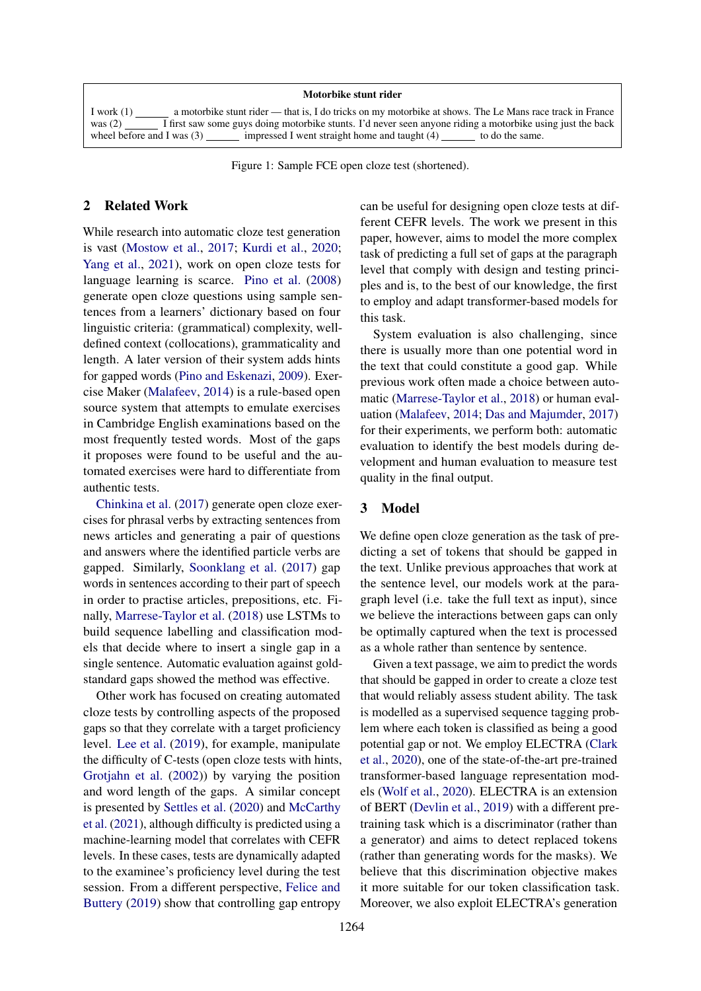#### Motorbike stunt rider

<span id="page-1-0"></span>I work (1) a motorbike stunt rider — that is, I do tricks on my motorbike at shows. The Le Mans race track in France was  $(2)$  I first saw some guys doing motorbike stunts. I'd never seen anyone riding a motorbike using just the back wheel before and I was  $(3)$  impressed I went straight home and taught  $(4)$  to do the same. impressed I went straight home and taught  $(4)$ 

Figure 1: Sample FCE open cloze test (shortened).

## 2 Related Work

While research into automatic cloze test generation is vast [\(Mostow et al.,](#page-9-6) [2017;](#page-9-6) [Kurdi et al.,](#page-8-2) [2020;](#page-8-2) [Yang et al.,](#page-9-7) [2021\)](#page-9-7), work on open cloze tests for language learning is scarce. [Pino et al.](#page-9-8) [\(2008\)](#page-9-8) generate open cloze questions using sample sentences from a learners' dictionary based on four linguistic criteria: (grammatical) complexity, welldefined context (collocations), grammaticality and length. A later version of their system adds hints for gapped words [\(Pino and Eskenazi,](#page-9-9) [2009\)](#page-9-9). Exercise Maker [\(Malafeev,](#page-8-3) [2014\)](#page-8-3) is a rule-based open source system that attempts to emulate exercises in Cambridge English examinations based on the most frequently tested words. Most of the gaps it proposes were found to be useful and the automated exercises were hard to differentiate from authentic tests.

[Chinkina et al.](#page-8-4) [\(2017\)](#page-8-4) generate open cloze exercises for phrasal verbs by extracting sentences from news articles and generating a pair of questions and answers where the identified particle verbs are gapped. Similarly, [Soonklang et al.](#page-9-10) [\(2017\)](#page-9-10) gap words in sentences according to their part of speech in order to practise articles, prepositions, etc. Finally, [Marrese-Taylor et al.](#page-8-5) [\(2018\)](#page-8-5) use LSTMs to build sequence labelling and classification models that decide where to insert a single gap in a single sentence. Automatic evaluation against goldstandard gaps showed the method was effective.

Other work has focused on creating automated cloze tests by controlling aspects of the proposed gaps so that they correlate with a target proficiency level. [Lee et al.](#page-8-6) [\(2019\)](#page-8-6), for example, manipulate the difficulty of C-tests (open cloze tests with hints, [Grotjahn et al.](#page-8-7) [\(2002\)](#page-8-7)) by varying the position and word length of the gaps. A similar concept is presented by [Settles et al.](#page-9-11) [\(2020\)](#page-9-11) and [McCarthy](#page-8-8) [et al.](#page-8-8) [\(2021\)](#page-8-8), although difficulty is predicted using a machine-learning model that correlates with CEFR levels. In these cases, tests are dynamically adapted to the examinee's proficiency level during the test session. From a different perspective, [Felice and](#page-8-9) [Buttery](#page-8-9) [\(2019\)](#page-8-9) show that controlling gap entropy can be useful for designing open cloze tests at different CEFR levels. The work we present in this paper, however, aims to model the more complex task of predicting a full set of gaps at the paragraph level that comply with design and testing principles and is, to the best of our knowledge, the first to employ and adapt transformer-based models for this task.

System evaluation is also challenging, since there is usually more than one potential word in the text that could constitute a good gap. While previous work often made a choice between automatic [\(Marrese-Taylor et al.,](#page-8-5) [2018\)](#page-8-5) or human evaluation [\(Malafeev,](#page-8-3) [2014;](#page-8-3) [Das and Majumder,](#page-8-10) [2017\)](#page-8-10) for their experiments, we perform both: automatic evaluation to identify the best models during development and human evaluation to measure test quality in the final output.

### 3 Model

We define open cloze generation as the task of predicting a set of tokens that should be gapped in the text. Unlike previous approaches that work at the sentence level, our models work at the paragraph level (i.e. take the full text as input), since we believe the interactions between gaps can only be optimally captured when the text is processed as a whole rather than sentence by sentence.

Given a text passage, we aim to predict the words that should be gapped in order to create a cloze test that would reliably assess student ability. The task is modelled as a supervised sequence tagging problem where each token is classified as being a good potential gap or not. We employ ELECTRA [\(Clark](#page-8-0) [et al.,](#page-8-0) [2020\)](#page-8-0), one of the state-of-the-art pre-trained transformer-based language representation models [\(Wolf et al.,](#page-9-12) [2020\)](#page-9-12). ELECTRA is an extension of BERT [\(Devlin et al.,](#page-8-11) [2019\)](#page-8-11) with a different pretraining task which is a discriminator (rather than a generator) and aims to detect replaced tokens (rather than generating words for the masks). We believe that this discrimination objective makes it more suitable for our token classification task. Moreover, we also exploit ELECTRA's generation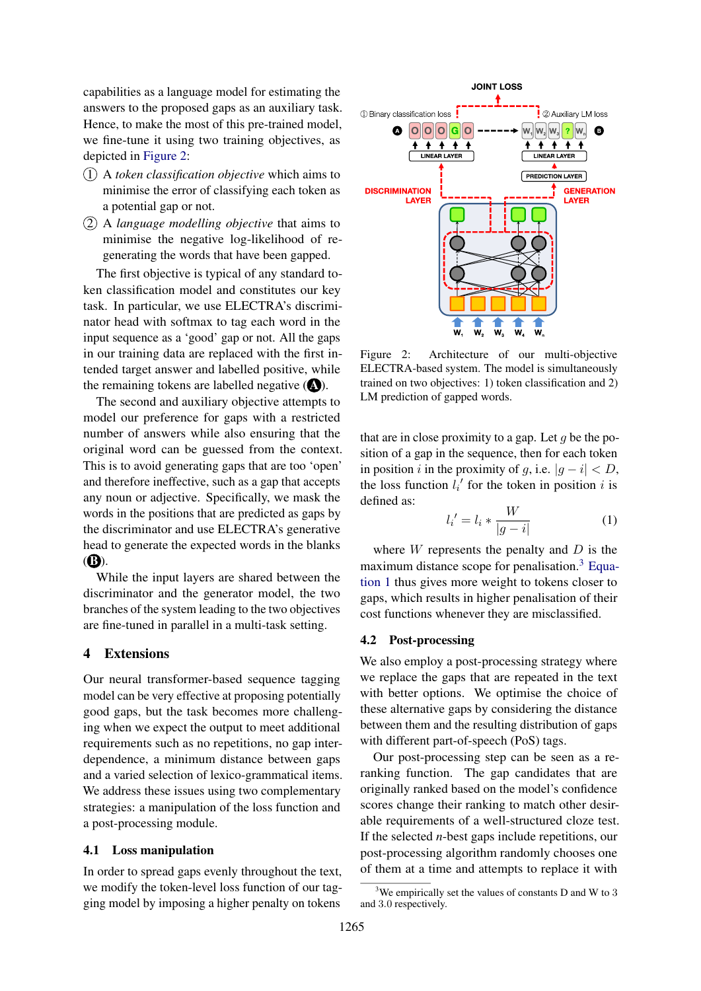capabilities as a language model for estimating the answers to the proposed gaps as an auxiliary task. Hence, to make the most of this pre-trained model, we fine-tune it using two training objectives, as depicted in [Figure 2:](#page-2-0)

- 1 A *token classification objective* which aims to minimise the error of classifying each token as a potential gap or not.
- 2 A *language modelling objective* that aims to minimise the negative log-likelihood of regenerating the words that have been gapped.

The first objective is typical of any standard token classification model and constitutes our key task. In particular, we use ELECTRA's discriminator head with softmax to tag each word in the input sequence as a 'good' gap or not. All the gaps in our training data are replaced with the first intended target answer and labelled positive, while the remaining tokens are labelled negative  $(\triangle)$ .

The second and auxiliary objective attempts to model our preference for gaps with a restricted number of answers while also ensuring that the original word can be guessed from the context. This is to avoid generating gaps that are too 'open' and therefore ineffective, such as a gap that accepts any noun or adjective. Specifically, we mask the words in the positions that are predicted as gaps by the discriminator and use ELECTRA's generative head to generate the expected words in the blanks  $(B).$ 

While the input layers are shared between the discriminator and the generator model, the two branches of the system leading to the two objectives are fine-tuned in parallel in a multi-task setting.

#### <span id="page-2-3"></span>4 Extensions

Our neural transformer-based sequence tagging model can be very effective at proposing potentially good gaps, but the task becomes more challenging when we expect the output to meet additional requirements such as no repetitions, no gap interdependence, a minimum distance between gaps and a varied selection of lexico-grammatical items. We address these issues using two complementary strategies: a manipulation of the loss function and a post-processing module.

### 4.1 Loss manipulation

In order to spread gaps evenly throughout the text, we modify the token-level loss function of our tagging model by imposing a higher penalty on tokens

<span id="page-2-0"></span>

Figure 2: Architecture of our multi-objective ELECTRA-based system. The model is simultaneously trained on two objectives: 1) token classification and 2) LM prediction of gapped words.

that are in close proximity to a gap. Let  $q$  be the position of a gap in the sequence, then for each token in position i in the proximity of q, i.e.  $|q - i| < D$ , the loss function  $l_i'$  for the token in position i is defined as:

<span id="page-2-2"></span>
$$
l_i' = l_i * \frac{W}{|g - i|}
$$
 (1)

where  $W$  represents the penalty and  $D$  is the maximum distance scope for penalisation.<sup>[3](#page-2-1)</sup> [Equa](#page-2-2)[tion 1](#page-2-2) thus gives more weight to tokens closer to gaps, which results in higher penalisation of their cost functions whenever they are misclassified.

## 4.2 Post-processing

We also employ a post-processing strategy where we replace the gaps that are repeated in the text with better options. We optimise the choice of these alternative gaps by considering the distance between them and the resulting distribution of gaps with different part-of-speech (PoS) tags.

Our post-processing step can be seen as a reranking function. The gap candidates that are originally ranked based on the model's confidence scores change their ranking to match other desirable requirements of a well-structured cloze test. If the selected *n*-best gaps include repetitions, our post-processing algorithm randomly chooses one of them at a time and attempts to replace it with

<span id="page-2-1"></span> $3$ We empirically set the values of constants D and W to 3 and 3.0 respectively.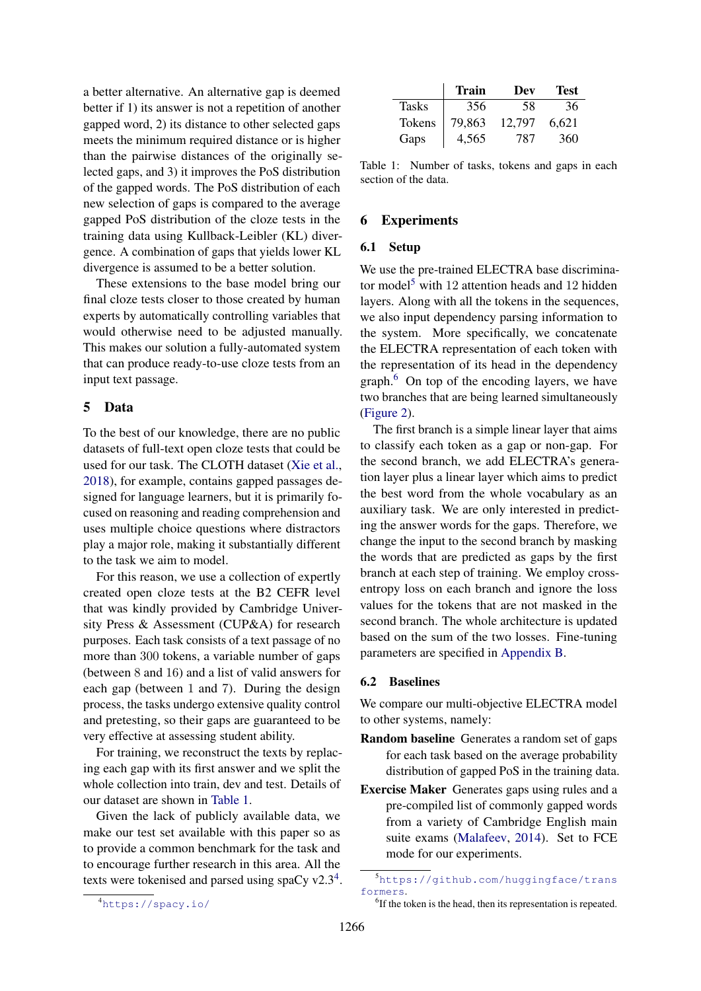a better alternative. An alternative gap is deemed better if 1) its answer is not a repetition of another gapped word, 2) its distance to other selected gaps meets the minimum required distance or is higher than the pairwise distances of the originally selected gaps, and 3) it improves the PoS distribution of the gapped words. The PoS distribution of each new selection of gaps is compared to the average gapped PoS distribution of the cloze tests in the training data using Kullback-Leibler (KL) divergence. A combination of gaps that yields lower KL divergence is assumed to be a better solution.

These extensions to the base model bring our final cloze tests closer to those created by human experts by automatically controlling variables that would otherwise need to be adjusted manually. This makes our solution a fully-automated system that can produce ready-to-use cloze tests from an input text passage.

# 5 Data

To the best of our knowledge, there are no public datasets of full-text open cloze tests that could be used for our task. The CLOTH dataset [\(Xie et al.,](#page-9-13) [2018\)](#page-9-13), for example, contains gapped passages designed for language learners, but it is primarily focused on reasoning and reading comprehension and uses multiple choice questions where distractors play a major role, making it substantially different to the task we aim to model.

For this reason, we use a collection of expertly created open cloze tests at the B2 CEFR level that was kindly provided by Cambridge University Press & Assessment (CUP&A) for research purposes. Each task consists of a text passage of no more than 300 tokens, a variable number of gaps (between 8 and 16) and a list of valid answers for each gap (between 1 and 7). During the design process, the tasks undergo extensive quality control and pretesting, so their gaps are guaranteed to be very effective at assessing student ability.

For training, we reconstruct the texts by replacing each gap with its first answer and we split the whole collection into train, dev and test. Details of our dataset are shown in [Table 1.](#page-3-0)

Given the lack of publicly available data, we make our test set available with this paper so as to provide a common benchmark for the task and to encourage further research in this area. All the texts were tokenised and parsed using spaCy  $v2.3<sup>4</sup>$  $v2.3<sup>4</sup>$  $v2.3<sup>4</sup>$ .

<span id="page-3-0"></span>

|              | Train  | Dev    | <b>Test</b> |
|--------------|--------|--------|-------------|
| <b>Tasks</b> | 356    | 58     | 36          |
| Tokens       | 79,863 | 12.797 | 6.621       |
| Gaps         | 4,565  | 787    | 360         |

Table 1: Number of tasks, tokens and gaps in each section of the data.

## 6 Experiments

#### 6.1 Setup

We use the pre-trained ELECTRA base discrimina-tor model<sup>[5](#page-3-2)</sup> with 12 attention heads and 12 hidden layers. Along with all the tokens in the sequences, we also input dependency parsing information to the system. More specifically, we concatenate the ELECTRA representation of each token with the representation of its head in the dependency graph.[6](#page-3-3) On top of the encoding layers, we have two branches that are being learned simultaneously [\(Figure 2\)](#page-2-0).

The first branch is a simple linear layer that aims to classify each token as a gap or non-gap. For the second branch, we add ELECTRA's generation layer plus a linear layer which aims to predict the best word from the whole vocabulary as an auxiliary task. We are only interested in predicting the answer words for the gaps. Therefore, we change the input to the second branch by masking the words that are predicted as gaps by the first branch at each step of training. We employ crossentropy loss on each branch and ignore the loss values for the tokens that are not masked in the second branch. The whole architecture is updated based on the sum of the two losses. Fine-tuning parameters are specified in [Appendix B.](#page-10-0)

#### 6.2 Baselines

We compare our multi-objective ELECTRA model to other systems, namely:

- Random baseline Generates a random set of gaps for each task based on the average probability distribution of gapped PoS in the training data.
- Exercise Maker Generates gaps using rules and a pre-compiled list of commonly gapped words from a variety of Cambridge English main suite exams [\(Malafeev,](#page-8-3) [2014\)](#page-8-3). Set to FCE mode for our experiments.

<span id="page-3-3"></span><span id="page-3-2"></span><sup>5</sup>[https://github.com/huggingface/trans](https://github.com/huggingface/transformers) [formers](https://github.com/huggingface/transformers).

<span id="page-3-1"></span><sup>4</sup><https://spacy.io/>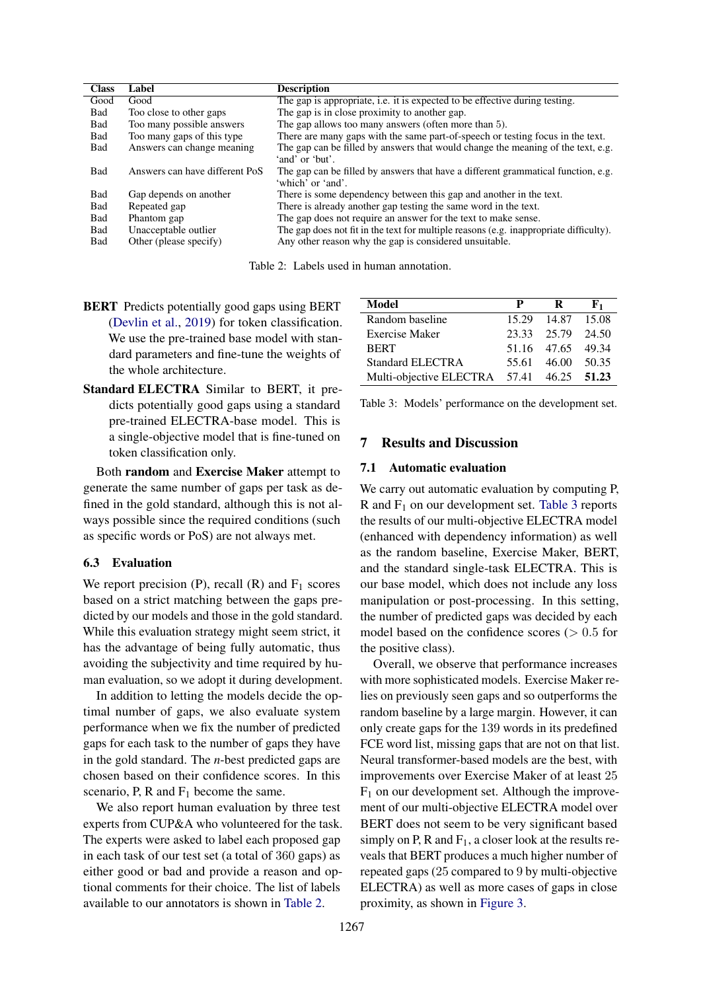<span id="page-4-0"></span>

| <b>Class</b> | Label                          | <b>Description</b>                                                                                     |
|--------------|--------------------------------|--------------------------------------------------------------------------------------------------------|
| Good         | Good                           | The gap is appropriate, <i>i.e.</i> it is expected to be effective during testing.                     |
| Bad          | Too close to other gaps        | The gap is in close proximity to another gap.                                                          |
| Bad          | Too many possible answers      | The gap allows too many answers (often more than 5).                                                   |
| Bad          | Too many gaps of this type     | There are many gaps with the same part-of-speech or testing focus in the text.                         |
| Bad          | Answers can change meaning     | The gap can be filled by answers that would change the meaning of the text, e.g.<br>'and' or 'but'.    |
| Bad          | Answers can have different PoS | The gap can be filled by answers that have a different grammatical function, e.g.<br>'which' or 'and'. |
| Bad          | Gap depends on another         | There is some dependency between this gap and another in the text.                                     |
| Bad          | Repeated gap                   | There is already another gap testing the same word in the text.                                        |
| Bad          | Phantom gap                    | The gap does not require an answer for the text to make sense.                                         |
| Bad          | Unacceptable outlier           | The gap does not fit in the text for multiple reasons (e.g. inappropriate difficulty).                 |
| Bad          | Other (please specify)         | Any other reason why the gap is considered unsuitable.                                                 |
|              |                                |                                                                                                        |

Table 2: Labels used in human annotation.

- BERT Predicts potentially good gaps using BERT [\(Devlin et al.,](#page-8-11) [2019\)](#page-8-11) for token classification. We use the pre-trained base model with standard parameters and fine-tune the weights of the whole architecture.
- Standard ELECTRA Similar to BERT, it predicts potentially good gaps using a standard pre-trained ELECTRA-base model. This is a single-objective model that is fine-tuned on token classification only.

Both random and Exercise Maker attempt to generate the same number of gaps per task as defined in the gold standard, although this is not always possible since the required conditions (such as specific words or PoS) are not always met.

#### 6.3 Evaluation

We report precision (P), recall  $(R)$  and  $F_1$  scores based on a strict matching between the gaps predicted by our models and those in the gold standard. While this evaluation strategy might seem strict, it has the advantage of being fully automatic, thus avoiding the subjectivity and time required by human evaluation, so we adopt it during development.

In addition to letting the models decide the optimal number of gaps, we also evaluate system performance when we fix the number of predicted gaps for each task to the number of gaps they have in the gold standard. The *n*-best predicted gaps are chosen based on their confidence scores. In this scenario, P, R and  $F_1$  become the same.

We also report human evaluation by three test experts from CUP&A who volunteered for the task. The experts were asked to label each proposed gap in each task of our test set (a total of 360 gaps) as either good or bad and provide a reason and optional comments for their choice. The list of labels available to our annotators is shown in [Table 2.](#page-4-0)

<span id="page-4-1"></span>

| Model                                     | P | $\mathbf R$       | ${\bf F_1}$ |
|-------------------------------------------|---|-------------------|-------------|
| Random baseline                           |   | 15.29 14.87 15.08 |             |
| <b>Exercise Maker</b>                     |   | 23.33 25.79 24.50 |             |
| <b>BERT</b>                               |   | 51.16 47.65 49.34 |             |
| Standard ELECTRA                          |   | 55.61 46.00 50.35 |             |
| Multi-objective ELECTRA 57.41 46.25 51.23 |   |                   |             |

Table 3: Models' performance on the development set.

### 7 Results and Discussion

#### 7.1 Automatic evaluation

We carry out automatic evaluation by computing P, R and  $F_1$  on our development set. [Table 3](#page-4-1) reports the results of our multi-objective ELECTRA model (enhanced with dependency information) as well as the random baseline, Exercise Maker, BERT, and the standard single-task ELECTRA. This is our base model, which does not include any loss manipulation or post-processing. In this setting, the number of predicted gaps was decided by each model based on the confidence scores  $(> 0.5$  for the positive class).

Overall, we observe that performance increases with more sophisticated models. Exercise Maker relies on previously seen gaps and so outperforms the random baseline by a large margin. However, it can only create gaps for the 139 words in its predefined FCE word list, missing gaps that are not on that list. Neural transformer-based models are the best, with improvements over Exercise Maker of at least 25  $F_1$  on our development set. Although the improvement of our multi-objective ELECTRA model over BERT does not seem to be very significant based simply on P, R and  $F_1$ , a closer look at the results reveals that BERT produces a much higher number of repeated gaps (25 compared to 9 by multi-objective ELECTRA) as well as more cases of gaps in close proximity, as shown in [Figure 3.](#page-5-0)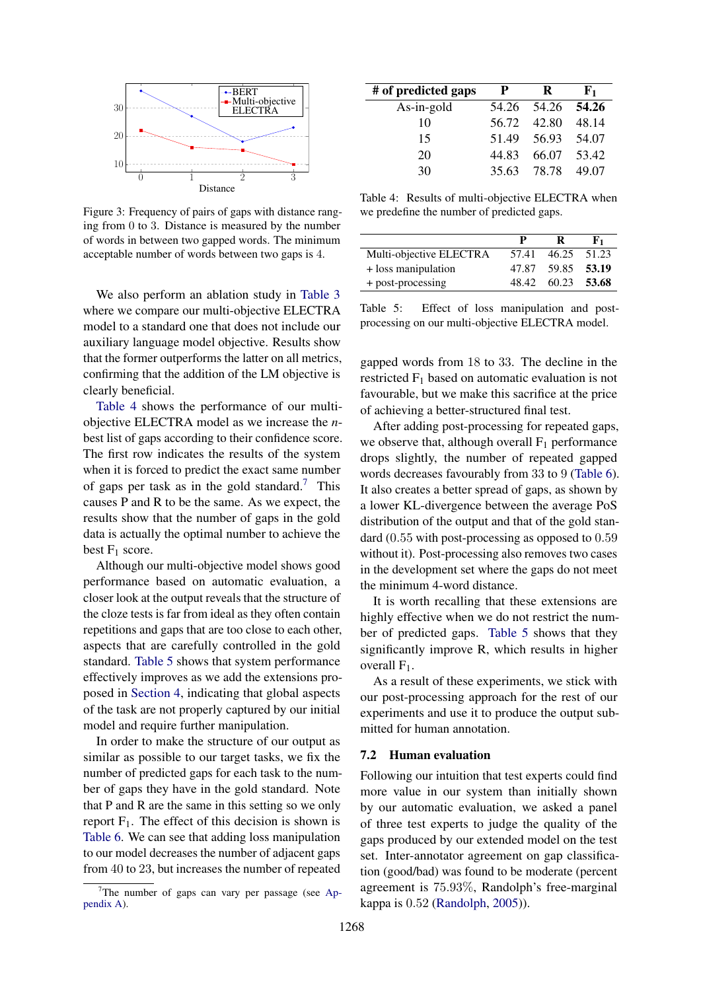<span id="page-5-0"></span>

Figure 3: Frequency of pairs of gaps with distance ranging from 0 to 3. Distance is measured by the number of words in between two gapped words. The minimum acceptable number of words between two gaps is 4.

We also perform an ablation study in [Table 3](#page-4-1) where we compare our multi-objective ELECTRA model to a standard one that does not include our auxiliary language model objective. Results show that the former outperforms the latter on all metrics, confirming that the addition of the LM objective is clearly beneficial.

[Table 4](#page-5-1) shows the performance of our multiobjective ELECTRA model as we increase the *n*best list of gaps according to their confidence score. The first row indicates the results of the system when it is forced to predict the exact same number of gaps per task as in the gold standard.<sup>[7](#page-5-2)</sup> This causes P and R to be the same. As we expect, the results show that the number of gaps in the gold data is actually the optimal number to achieve the best  $F_1$  score.

Although our multi-objective model shows good performance based on automatic evaluation, a closer look at the output reveals that the structure of the cloze tests is far from ideal as they often contain repetitions and gaps that are too close to each other, aspects that are carefully controlled in the gold standard. [Table 5](#page-5-3) shows that system performance effectively improves as we add the extensions proposed in [Section 4,](#page-2-3) indicating that global aspects of the task are not properly captured by our initial model and require further manipulation.

In order to make the structure of our output as similar as possible to our target tasks, we fix the number of predicted gaps for each task to the number of gaps they have in the gold standard. Note that P and R are the same in this setting so we only report  $F_1$ . The effect of this decision is shown is [Table 6.](#page-6-0) We can see that adding loss manipulation to our model decreases the number of adjacent gaps from 40 to 23, but increases the number of repeated

<span id="page-5-1"></span>

| # of predicted gaps | P     | R                 | ${\bf F_1}$ |
|---------------------|-------|-------------------|-------------|
| $As-in-gold$        |       | 54.26 54.26 54.26 |             |
| 10                  | 56.72 | 42.80             | 48.14       |
| 15                  | 51.49 | 56.93             | 54.07       |
| 20                  | 44.83 | 66.07 53.42       |             |
| 30                  | 35.63 | 78.78             | 49.07       |

Table 4: Results of multi-objective ELECTRA when we predefine the number of predicted gaps.

<span id="page-5-3"></span>

|                         | P     | R                 | ${\bf F_1}$ |
|-------------------------|-------|-------------------|-------------|
| Multi-objective ELECTRA | 57.41 | 46.25             | 51.23       |
| + loss manipulation     | 47.87 | 59.85 53.19       |             |
| + post-processing       |       | 48.42 60.23 53.68 |             |

Table 5: Effect of loss manipulation and postprocessing on our multi-objective ELECTRA model.

gapped words from 18 to 33. The decline in the restricted F<sup>1</sup> based on automatic evaluation is not favourable, but we make this sacrifice at the price of achieving a better-structured final test.

After adding post-processing for repeated gaps, we observe that, although overall  $F_1$  performance drops slightly, the number of repeated gapped words decreases favourably from 33 to 9 [\(Table 6\)](#page-6-0). It also creates a better spread of gaps, as shown by a lower KL-divergence between the average PoS distribution of the output and that of the gold standard (0.55 with post-processing as opposed to 0.59 without it). Post-processing also removes two cases in the development set where the gaps do not meet the minimum 4-word distance.

It is worth recalling that these extensions are highly effective when we do not restrict the number of predicted gaps. [Table 5](#page-5-3) shows that they significantly improve R, which results in higher overall  $F_1$ .

As a result of these experiments, we stick with our post-processing approach for the rest of our experiments and use it to produce the output submitted for human annotation.

#### 7.2 Human evaluation

Following our intuition that test experts could find more value in our system than initially shown by our automatic evaluation, we asked a panel of three test experts to judge the quality of the gaps produced by our extended model on the test set. Inter-annotator agreement on gap classification (good/bad) was found to be moderate (percent agreement is 75.93%, Randolph's free-marginal kappa is 0.52 [\(Randolph,](#page-9-14) [2005\)](#page-9-14)).

<span id="page-5-2"></span> $7$ The number of gaps can vary per passage (see [Ap](#page-10-1)[pendix A\)](#page-10-1).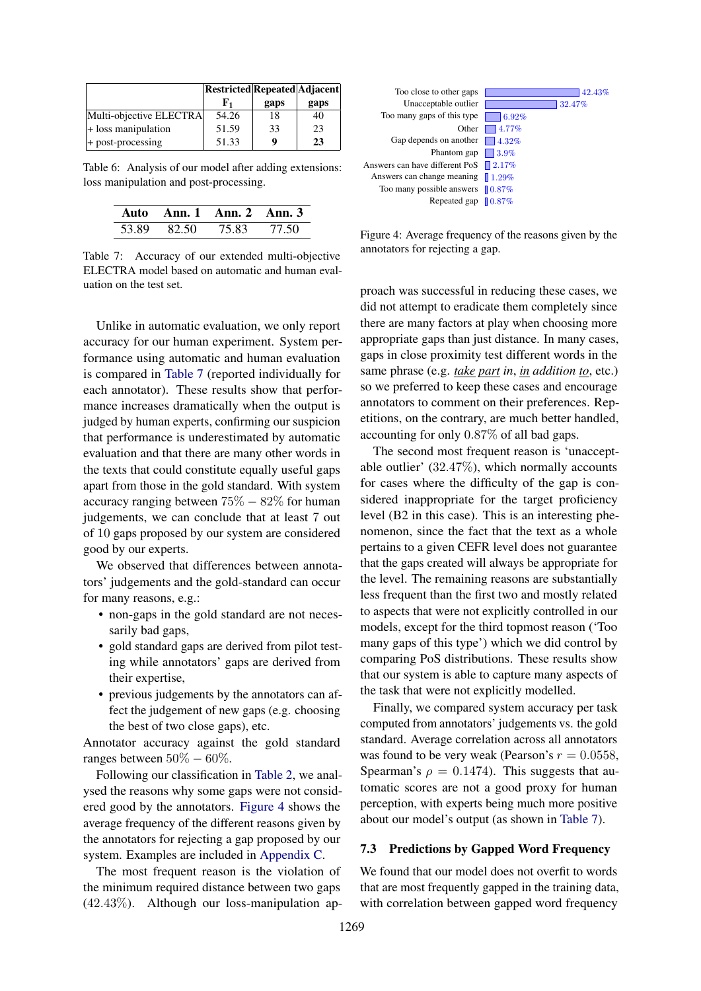<span id="page-6-0"></span>

|                         | Restricted Repeated Adjacent |      |      |
|-------------------------|------------------------------|------|------|
|                         | Е,                           | gaps | gaps |
| Multi-objective ELECTRA | 54.26                        | 18   | 40   |
| $+$ loss manipulation   | 51.59                        | 33   | 23   |
| $+$ post-processing     | 51.33                        | Q    | 23   |

Table 6: Analysis of our model after adding extensions: loss manipulation and post-processing.

<span id="page-6-1"></span>

|       | Auto Ann. 1 Ann. 2 Ann. 3 |       |       |
|-------|---------------------------|-------|-------|
| 53.89 | -82.50                    | 75.83 | 77.50 |

Table 7: Accuracy of our extended multi-objective ELECTRA model based on automatic and human evaluation on the test set.

Unlike in automatic evaluation, we only report accuracy for our human experiment. System performance using automatic and human evaluation is compared in [Table 7](#page-6-1) (reported individually for each annotator). These results show that performance increases dramatically when the output is judged by human experts, confirming our suspicion that performance is underestimated by automatic evaluation and that there are many other words in the texts that could constitute equally useful gaps apart from those in the gold standard. With system accuracy ranging between  $75\% - 82\%$  for human judgements, we can conclude that at least 7 out of 10 gaps proposed by our system are considered good by our experts.

We observed that differences between annotators' judgements and the gold-standard can occur for many reasons, e.g.:

- non-gaps in the gold standard are not necessarily bad gaps,
- gold standard gaps are derived from pilot testing while annotators' gaps are derived from their expertise,
- previous judgements by the annotators can affect the judgement of new gaps (e.g. choosing the best of two close gaps), etc.

Annotator accuracy against the gold standard ranges between  $50\% - 60\%$ .

Following our classification in [Table 2,](#page-4-0) we analysed the reasons why some gaps were not considered good by the annotators. [Figure 4](#page-6-2) shows the average frequency of the different reasons given by the annotators for rejecting a gap proposed by our system. Examples are included in [Appendix C.](#page-10-2)

The most frequent reason is the violation of the minimum required distance between two gaps (42.43%). Although our loss-manipulation ap-

<span id="page-6-2"></span>

Figure 4: Average frequency of the reasons given by the annotators for rejecting a gap.

proach was successful in reducing these cases, we did not attempt to eradicate them completely since there are many factors at play when choosing more appropriate gaps than just distance. In many cases, gaps in close proximity test different words in the same phrase (e.g. *take part in*, *in addition to*, etc.) so we preferred to keep these cases and encourage annotators to comment on their preferences. Repetitions, on the contrary, are much better handled, accounting for only 0.87% of all bad gaps.

The second most frequent reason is 'unacceptable outlier' (32.47%), which normally accounts for cases where the difficulty of the gap is considered inappropriate for the target proficiency level (B2 in this case). This is an interesting phenomenon, since the fact that the text as a whole pertains to a given CEFR level does not guarantee that the gaps created will always be appropriate for the level. The remaining reasons are substantially less frequent than the first two and mostly related to aspects that were not explicitly controlled in our models, except for the third topmost reason ('Too many gaps of this type') which we did control by comparing PoS distributions. These results show that our system is able to capture many aspects of the task that were not explicitly modelled.

Finally, we compared system accuracy per task computed from annotators' judgements vs. the gold standard. Average correlation across all annotators was found to be very weak (Pearson's  $r = 0.0558$ , Spearman's  $\rho = 0.1474$ . This suggests that automatic scores are not a good proxy for human perception, with experts being much more positive about our model's output (as shown in [Table 7\)](#page-6-1).

### 7.3 Predictions by Gapped Word Frequency

We found that our model does not overfit to words that are most frequently gapped in the training data, with correlation between gapped word frequency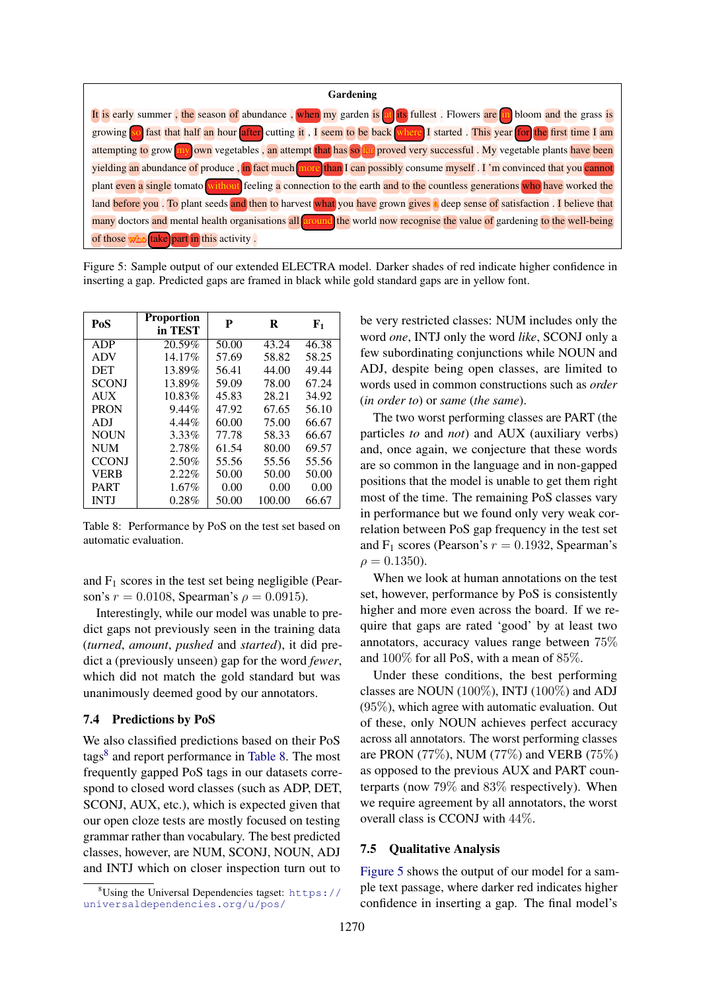<span id="page-7-2"></span>

Figure 5: Sample output of our extended ELECTRA model. Darker shades of red indicate higher confidence in inserting a gap. Predicted gaps are framed in black while gold standard gaps are in yellow font.

<span id="page-7-1"></span>

| PoS          | <b>Proportion</b><br>in TEST | P     | R      | ${\bf F}_1$ |
|--------------|------------------------------|-------|--------|-------------|
| ADP          | 20.59%                       | 50.00 | 43.24  | 46.38       |
| <b>ADV</b>   | 14.17%                       | 57.69 | 58.82  | 58.25       |
| <b>DET</b>   | 13.89%                       | 56.41 | 44.00  | 49.44       |
| <b>SCONI</b> | 13.89%                       | 59.09 | 78.00  | 67.24       |
| <b>AUX</b>   | 10.83%                       | 45.83 | 28.21  | 34.92       |
| <b>PRON</b>  | $9.44\%$                     | 47.92 | 67.65  | 56.10       |
| ADI          | $4.44\%$                     | 60.00 | 75.00  | 66.67       |
| <b>NOUN</b>  | 3.33%                        | 77.78 | 58.33  | 66.67       |
| <b>NUM</b>   | 2.78%                        | 61.54 | 80.00  | 69.57       |
| <b>CCONJ</b> | 2.50%                        | 55.56 | 55.56  | 55.56       |
| <b>VERB</b>  | 2.22%                        | 50.00 | 50.00  | 50.00       |
| <b>PART</b>  | $1.67\%$                     | 0.00  | 0.00   | 0.00        |
| <b>INTJ</b>  | 0.28%                        | 50.00 | 100.00 | 66.67       |

Table 8: Performance by PoS on the test set based on automatic evaluation.

and  $F_1$  scores in the test set being negligible (Pearson's  $r = 0.0108$ , Spearman's  $\rho = 0.0915$ .

Interestingly, while our model was unable to predict gaps not previously seen in the training data (*turned*, *amount*, *pushed* and *started*), it did predict a (previously unseen) gap for the word *fewer*, which did not match the gold standard but was unanimously deemed good by our annotators.

#### 7.4 Predictions by PoS

We also classified predictions based on their PoS tags<sup>[8](#page-7-0)</sup> and report performance in [Table 8.](#page-7-1) The most frequently gapped PoS tags in our datasets correspond to closed word classes (such as ADP, DET, SCONJ, AUX, etc.), which is expected given that our open cloze tests are mostly focused on testing grammar rather than vocabulary. The best predicted classes, however, are NUM, SCONJ, NOUN, ADJ and INTJ which on closer inspection turn out to

be very restricted classes: NUM includes only the word *one*, INTJ only the word *like*, SCONJ only a few subordinating conjunctions while NOUN and ADJ, despite being open classes, are limited to words used in common constructions such as *order* (*in order to*) or *same* (*the same*).

The two worst performing classes are PART (the particles *to* and *not*) and AUX (auxiliary verbs) and, once again, we conjecture that these words are so common in the language and in non-gapped positions that the model is unable to get them right most of the time. The remaining PoS classes vary in performance but we found only very weak correlation between PoS gap frequency in the test set and  $F_1$  scores (Pearson's  $r = 0.1932$ , Spearman's  $\rho = 0.1350$ .

When we look at human annotations on the test set, however, performance by PoS is consistently higher and more even across the board. If we require that gaps are rated 'good' by at least two annotators, accuracy values range between 75% and 100% for all PoS, with a mean of 85%.

Under these conditions, the best performing classes are NOUN (100%), INTJ (100%) and ADJ (95%), which agree with automatic evaluation. Out of these, only NOUN achieves perfect accuracy across all annotators. The worst performing classes are PRON (77%), NUM (77%) and VERB (75%) as opposed to the previous AUX and PART counterparts (now 79% and 83% respectively). When we require agreement by all annotators, the worst overall class is CCONJ with 44%.

#### 7.5 Qualitative Analysis

[Figure 5](#page-7-2) shows the output of our model for a sample text passage, where darker red indicates higher confidence in inserting a gap. The final model's

<span id="page-7-0"></span> $8$ Using the Universal Dependencies tagset: [https://](https://universaldependencies.org/u/pos/) [universaldependencies.org/u/pos/](https://universaldependencies.org/u/pos/)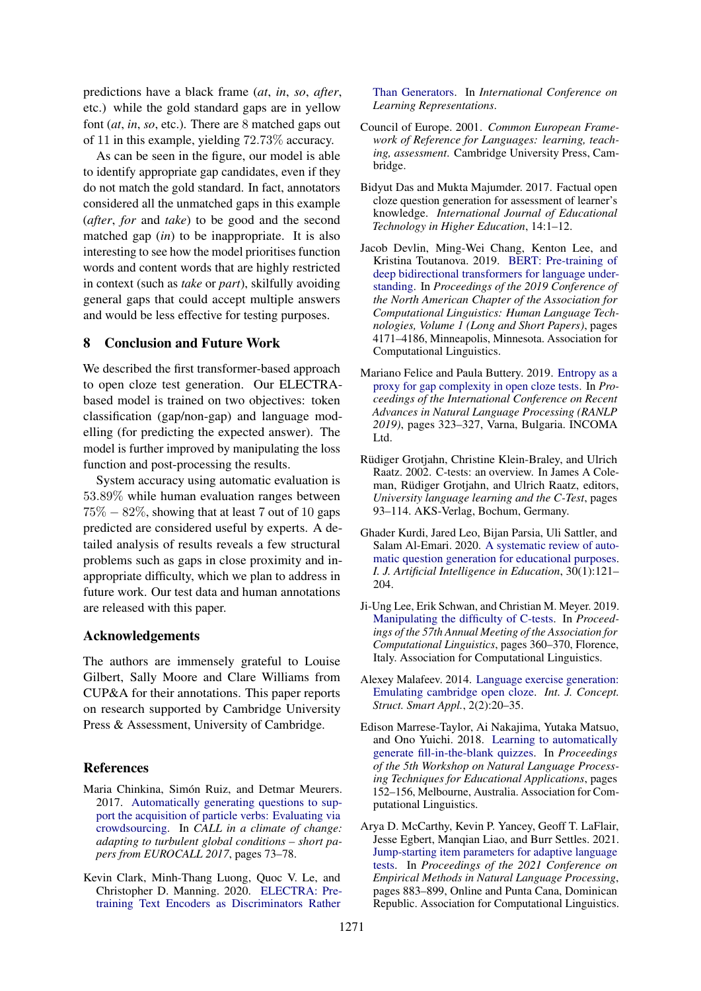predictions have a black frame (*at*, *in*, *so*, *after*, etc.) while the gold standard gaps are in yellow font (*at*, *in*, *so*, etc.). There are 8 matched gaps out of 11 in this example, yielding 72.73% accuracy.

As can be seen in the figure, our model is able to identify appropriate gap candidates, even if they do not match the gold standard. In fact, annotators considered all the unmatched gaps in this example (*after*, *for* and *take*) to be good and the second matched gap (*in*) to be inappropriate. It is also interesting to see how the model prioritises function words and content words that are highly restricted in context (such as *take* or *part*), skilfully avoiding general gaps that could accept multiple answers and would be less effective for testing purposes.

#### 8 Conclusion and Future Work

We described the first transformer-based approach to open cloze test generation. Our ELECTRAbased model is trained on two objectives: token classification (gap/non-gap) and language modelling (for predicting the expected answer). The model is further improved by manipulating the loss function and post-processing the results.

System accuracy using automatic evaluation is 53.89% while human evaluation ranges between  $75\% - 82\%$ , showing that at least 7 out of 10 gaps predicted are considered useful by experts. A detailed analysis of results reveals a few structural problems such as gaps in close proximity and inappropriate difficulty, which we plan to address in future work. Our test data and human annotations are released with this paper.

#### Acknowledgements

The authors are immensely grateful to Louise Gilbert, Sally Moore and Clare Williams from CUP&A for their annotations. This paper reports on research supported by Cambridge University Press & Assessment, University of Cambridge.

## References

- <span id="page-8-4"></span>Maria Chinkina, Simón Ruiz, and Detmar Meurers. 2017. [Automatically generating questions to sup](https://doi.org/10.14705/rpnet.2017.eurocall2017.692)[port the acquisition of particle verbs: Evaluating via](https://doi.org/10.14705/rpnet.2017.eurocall2017.692) [crowdsourcing.](https://doi.org/10.14705/rpnet.2017.eurocall2017.692) In *CALL in a climate of change: adapting to turbulent global conditions – short papers from EUROCALL 2017*, pages 73–78.
- <span id="page-8-0"></span>Kevin Clark, Minh-Thang Luong, Quoc V. Le, and Christopher D. Manning. 2020. [ELECTRA: Pre](https://openreview.net/forum?id=r1xMH1BtvB)[training Text Encoders as Discriminators Rather](https://openreview.net/forum?id=r1xMH1BtvB)

[Than Generators.](https://openreview.net/forum?id=r1xMH1BtvB) In *International Conference on Learning Representations*.

- <span id="page-8-1"></span>Council of Europe. 2001. *Common European Framework of Reference for Languages: learning, teaching, assessment*. Cambridge University Press, Cambridge.
- <span id="page-8-10"></span>Bidyut Das and Mukta Majumder. 2017. Factual open cloze question generation for assessment of learner's knowledge. *International Journal of Educational Technology in Higher Education*, 14:1–12.
- <span id="page-8-11"></span>Jacob Devlin, Ming-Wei Chang, Kenton Lee, and Kristina Toutanova. 2019. [BERT: Pre-training of](https://doi.org/10.18653/v1/N19-1423) [deep bidirectional transformers for language under](https://doi.org/10.18653/v1/N19-1423)[standing.](https://doi.org/10.18653/v1/N19-1423) In *Proceedings of the 2019 Conference of the North American Chapter of the Association for Computational Linguistics: Human Language Technologies, Volume 1 (Long and Short Papers)*, pages 4171–4186, Minneapolis, Minnesota. Association for Computational Linguistics.
- <span id="page-8-9"></span>Mariano Felice and Paula Buttery. 2019. [Entropy as a](https://doi.org/10.26615/978-954-452-056-4_037) [proxy for gap complexity in open cloze tests.](https://doi.org/10.26615/978-954-452-056-4_037) In *Proceedings of the International Conference on Recent Advances in Natural Language Processing (RANLP 2019)*, pages 323–327, Varna, Bulgaria. INCOMA Ltd.
- <span id="page-8-7"></span>Rüdiger Grotjahn, Christine Klein-Braley, and Ulrich Raatz. 2002. C-tests: an overview. In James A Coleman, Rüdiger Grotjahn, and Ulrich Raatz, editors, *University language learning and the C-Test*, pages 93–114. AKS-Verlag, Bochum, Germany.
- <span id="page-8-2"></span>Ghader Kurdi, Jared Leo, Bijan Parsia, Uli Sattler, and Salam Al-Emari. 2020. [A systematic review of auto](https://doi.org/10.1007/s40593-019-00186-y)[matic question generation for educational purposes.](https://doi.org/10.1007/s40593-019-00186-y) *I. J. Artificial Intelligence in Education*, 30(1):121– 204.
- <span id="page-8-6"></span>Ji-Ung Lee, Erik Schwan, and Christian M. Meyer. 2019. [Manipulating the difficulty of C-tests.](https://doi.org/10.18653/v1/P19-1035) In *Proceedings of the 57th Annual Meeting of the Association for Computational Linguistics*, pages 360–370, Florence, Italy. Association for Computational Linguistics.
- <span id="page-8-3"></span>Alexey Malafeev. 2014. [Language exercise generation:](https://doi.org/10.4018/IJCSSA.2014070102) [Emulating cambridge open cloze.](https://doi.org/10.4018/IJCSSA.2014070102) *Int. J. Concept. Struct. Smart Appl.*, 2(2):20–35.
- <span id="page-8-5"></span>Edison Marrese-Taylor, Ai Nakajima, Yutaka Matsuo, and Ono Yuichi. 2018. [Learning to automatically](https://doi.org/10.18653/v1/W18-3722) [generate fill-in-the-blank quizzes.](https://doi.org/10.18653/v1/W18-3722) In *Proceedings of the 5th Workshop on Natural Language Processing Techniques for Educational Applications*, pages 152–156, Melbourne, Australia. Association for Computational Linguistics.
- <span id="page-8-8"></span>Arya D. McCarthy, Kevin P. Yancey, Geoff T. LaFlair, Jesse Egbert, Manqian Liao, and Burr Settles. 2021. [Jump-starting item parameters for adaptive language](https://aclanthology.org/2021.emnlp-main.67) [tests.](https://aclanthology.org/2021.emnlp-main.67) In *Proceedings of the 2021 Conference on Empirical Methods in Natural Language Processing*, pages 883–899, Online and Punta Cana, Dominican Republic. Association for Computational Linguistics.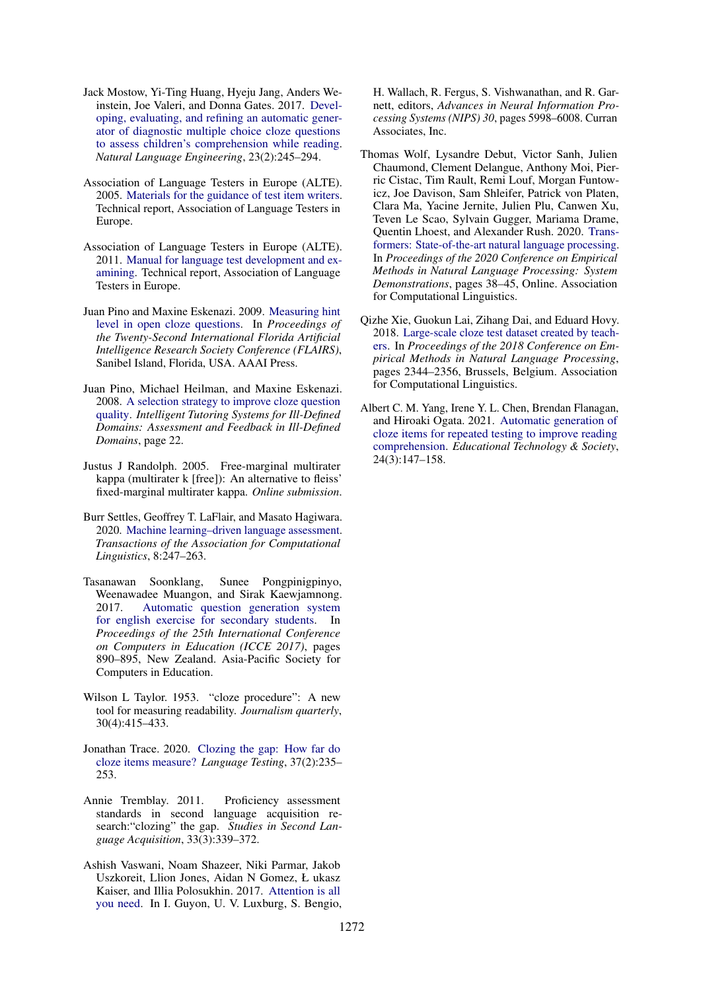- <span id="page-9-6"></span>Jack Mostow, Yi-Ting Huang, Hyeju Jang, Anders Weinstein, Joe Valeri, and Donna Gates. 2017. [Devel](https://doi.org/10.1017/S1351324916000024)[oping, evaluating, and refining an automatic gener](https://doi.org/10.1017/S1351324916000024)[ator of diagnostic multiple choice cloze questions](https://doi.org/10.1017/S1351324916000024) [to assess children's comprehension while reading.](https://doi.org/10.1017/S1351324916000024) *Natural Language Engineering*, 23(2):245–294.
- <span id="page-9-3"></span>Association of Language Testers in Europe (ALTE). 2005. [Materials for the guidance of test item writers.](https://www.alte.org/resources/Documents/IWG%20July2005.pdf) Technical report, Association of Language Testers in Europe.
- <span id="page-9-4"></span>Association of Language Testers in Europe (ALTE). 2011. [Manual for language test development and ex](https://www.alte.org/resources/Documents/ManualLanguageTest-Alte2011_EN.pdf)[amining.](https://www.alte.org/resources/Documents/ManualLanguageTest-Alte2011_EN.pdf) Technical report, Association of Language Testers in Europe.
- <span id="page-9-9"></span>Juan Pino and Maxine Eskenazi. 2009. [Measuring hint](http://aaai.org/ocs/index.php/FLAIRS/2009/paper/view/69) [level in open cloze questions.](http://aaai.org/ocs/index.php/FLAIRS/2009/paper/view/69) In *Proceedings of the Twenty-Second International Florida Artificial Intelligence Research Society Conference (FLAIRS)*, Sanibel Island, Florida, USA. AAAI Press.
- <span id="page-9-8"></span>Juan Pino, Michael Heilman, and Maxine Eskenazi. 2008. [A selection strategy to improve cloze question](https://doi.org/10.1007/978-3-642-28885-2_19) [quality.](https://doi.org/10.1007/978-3-642-28885-2_19) *Intelligent Tutoring Systems for Ill-Defined Domains: Assessment and Feedback in Ill-Defined Domains*, page 22.
- <span id="page-9-14"></span>Justus J Randolph. 2005. Free-marginal multirater kappa (multirater k [free]): An alternative to fleiss' fixed-marginal multirater kappa. *Online submission*.
- <span id="page-9-11"></span>Burr Settles, Geoffrey T. LaFlair, and Masato Hagiwara. 2020. [Machine learning–driven language assessment.](https://doi.org/10.1162/tacl_a_00310) *Transactions of the Association for Computational Linguistics*, 8:247–263.
- <span id="page-9-10"></span>Tasanawan Soonklang, Sunee Pongpinigpinyo, Weenawadee Muangon, and Sirak Kaewjamnong. 2017. [Automatic question generation system](https://apsce.net/icce/icce2017/140.115.135.84/icce/icce2017/sites/default/files/proceedings/main/C6/Automatic%20Question%20Generation%20System%20for%20English%20Exercise%20for%20Secondary%20Students.pdf) [for english exercise for secondary students.](https://apsce.net/icce/icce2017/140.115.135.84/icce/icce2017/sites/default/files/proceedings/main/C6/Automatic%20Question%20Generation%20System%20for%20English%20Exercise%20for%20Secondary%20Students.pdf) In *Proceedings of the 25th International Conference on Computers in Education (ICCE 2017)*, pages 890–895, New Zealand. Asia-Pacific Society for Computers in Education.
- <span id="page-9-0"></span>Wilson L Taylor. 1953. "cloze procedure": A new tool for measuring readability. *Journalism quarterly*, 30(4):415–433.
- <span id="page-9-2"></span>Jonathan Trace. 2020. [Clozing the gap: How far do](https://doi.org/10.1177/0265532219888617) [cloze items measure?](https://doi.org/10.1177/0265532219888617) *Language Testing*, 37(2):235– 253.
- <span id="page-9-1"></span>Annie Tremblay. 2011. Proficiency assessment standards in second language acquisition research:"clozing" the gap. *Studies in Second Language Acquisition*, 33(3):339–372.
- <span id="page-9-5"></span>Ashish Vaswani, Noam Shazeer, Niki Parmar, Jakob Uszkoreit, Llion Jones, Aidan N Gomez, Ł ukasz Kaiser, and Illia Polosukhin. 2017. [Attention is all](http://papers.nips.cc/paper/7181-attention-is-all-you-need.pdf) [you need.](http://papers.nips.cc/paper/7181-attention-is-all-you-need.pdf) In I. Guyon, U. V. Luxburg, S. Bengio,

H. Wallach, R. Fergus, S. Vishwanathan, and R. Garnett, editors, *Advances in Neural Information Processing Systems (NIPS) 30*, pages 5998–6008. Curran Associates, Inc.

- <span id="page-9-12"></span>Thomas Wolf, Lysandre Debut, Victor Sanh, Julien Chaumond, Clement Delangue, Anthony Moi, Pierric Cistac, Tim Rault, Remi Louf, Morgan Funtowicz, Joe Davison, Sam Shleifer, Patrick von Platen, Clara Ma, Yacine Jernite, Julien Plu, Canwen Xu, Teven Le Scao, Sylvain Gugger, Mariama Drame, Quentin Lhoest, and Alexander Rush. 2020. [Trans](https://doi.org/10.18653/v1/2020.emnlp-demos.6)[formers: State-of-the-art natural language processing.](https://doi.org/10.18653/v1/2020.emnlp-demos.6) In *Proceedings of the 2020 Conference on Empirical Methods in Natural Language Processing: System Demonstrations*, pages 38–45, Online. Association for Computational Linguistics.
- <span id="page-9-13"></span>Qizhe Xie, Guokun Lai, Zihang Dai, and Eduard Hovy. 2018. [Large-scale cloze test dataset created by teach](https://doi.org/10.18653/v1/D18-1257)[ers.](https://doi.org/10.18653/v1/D18-1257) In *Proceedings of the 2018 Conference on Empirical Methods in Natural Language Processing*, pages 2344–2356, Brussels, Belgium. Association for Computational Linguistics.
- <span id="page-9-7"></span>Albert C. M. Yang, Irene Y. L. Chen, Brendan Flanagan, and Hiroaki Ogata. 2021. [Automatic generation of](https://www.jstor.org/stable/27032862) [cloze items for repeated testing to improve reading](https://www.jstor.org/stable/27032862) [comprehension.](https://www.jstor.org/stable/27032862) *Educational Technology & Society*, 24(3):147–158.